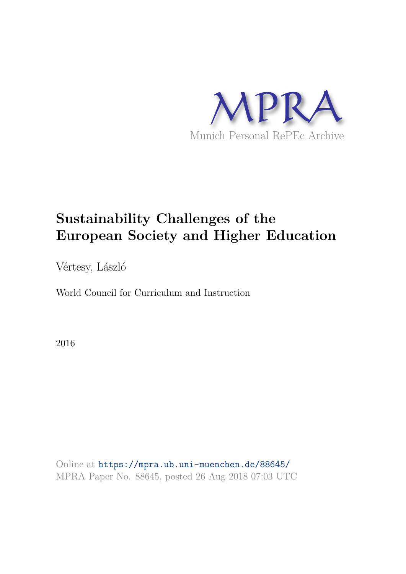

# **Sustainability Challenges of the European Society and Higher Education**

Vértesy, László

World Council for Curriculum and Instruction

2016

Online at https://mpra.ub.uni-muenchen.de/88645/ MPRA Paper No. 88645, posted 26 Aug 2018 07:03 UTC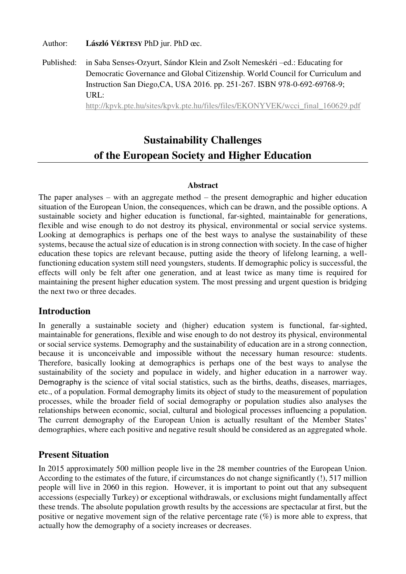Author: **László VÉRTESY** PhD jur. PhD œc.

Published: in Saba Senses-Ozyurt, Sándor Klein and Zsolt Nemeskéri –ed.: Educating for Democratic Governance and Global Citizenship. World Council for Curriculum and Instruction San Diego,CA, USA 2016. pp. 251-267. ISBN 978-0-692-69768-9; URL:

[http://kpvk.pte.hu/sites/kpvk.pte.hu/files/files/EKONYVEK/wcci\\_final\\_160629.pdf](http://kpvk.pte.hu/sites/kpvk.pte.hu/files/files/EKONYVEK/wcci_final_160629.pdf)

# **Sustainability Challenges of the European Society and Higher Education**

#### **Abstract**

The paper analyses – with an aggregate method – the present demographic and higher education situation of the European Union, the consequences, which can be drawn, and the possible options. A sustainable society and higher education is functional, far-sighted, maintainable for generations, flexible and wise enough to do not destroy its physical, environmental or social service systems. Looking at demographics is perhaps one of the best ways to analyse the sustainability of these systems, because the actual size of education is in strong connection with society. In the case of higher education these topics are relevant because, putting aside the theory of lifelong learning, a wellfunctioning education system still need youngsters, students. If demographic policy is successful, the effects will only be felt after one generation, and at least twice as many time is required for maintaining the present higher education system. The most pressing and urgent question is bridging the next two or three decades.

## **Introduction**

In generally a sustainable society and (higher) education system is functional, far-sighted, maintainable for generations, flexible and wise enough to do not destroy its physical, environmental or social service systems. Demography and the sustainability of education are in a strong connection, because it is unconceivable and impossible without the necessary human resource: students. Therefore, basically looking at demographics is perhaps one of the best ways to analyse the sustainability of the society and populace in widely, and higher education in a narrower way. Demography is the science of vital social statistics, such as the births, deaths, diseases, marriages, etc., of a population. Formal demography limits its object of study to the measurement of population processes, while the broader field of social demography or population studies also analyses the relationships between economic, social, cultural and biological processes influencing a population. The current demography of the European Union is actually resultant of the Member States' demographies, where each positive and negative result should be considered as an aggregated whole.

## **Present Situation**

In 2015 approximately 500 million people live in the 28 member countries of the European Union. According to the estimates of the future, if circumstances do not change significantly (!), 517 million people will live in 2060 in this region. However, it is important to point out that any subsequent accessions (especially Turkey) or exceptional withdrawals, or exclusions might fundamentally affect these trends. The absolute population growth results by the accessions are spectacular at first, but the positive or negative movement sign of the relative percentage rate (%) is more able to express, that actually how the demography of a society increases or decreases.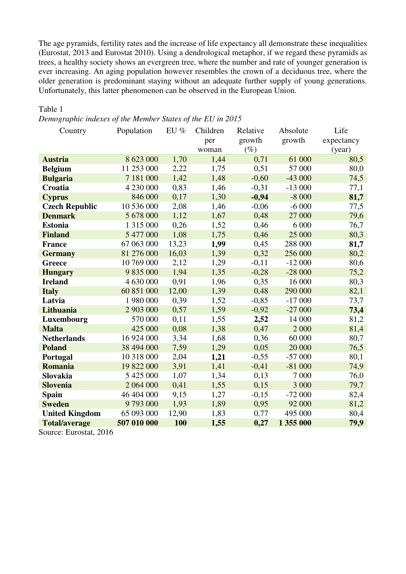The age pyramids, fertility rates and the increase of life expectancy all demonstrate these inequalities (Eurostat, 2013 and Eurostat 2010). Using a dendrological metaphor, if we regard these pyramids as trees, a healthy society shows an evergreen tree, where the number and rate of younger generation is ever increasing. An aging population however resembles the crown of a deciduous tree, where the older generation is predominant staying without an adequate further supply of young generations. Unfortunately, this latter phenomenon can be observed in the European Union.

#### Table 1

*Demographic indexes of the Member States of the EU in 2015* 

| Country               | Population  | $EU\%$ | Children<br>per<br>woman | Relative<br>growth<br>$(\%)$ | Absolute<br>growth | Life<br>expectancy<br>(year) |  |
|-----------------------|-------------|--------|--------------------------|------------------------------|--------------------|------------------------------|--|
| <b>Austria</b>        | 8 623 000   | 1,70   | 1,44                     | 0,71                         | 61 000             | 80,5                         |  |
| <b>Belgium</b>        | 11 253 000  | 2,22   | 1,75                     | 0,51                         | 57 000             | 80,0                         |  |
| <b>Bulgaria</b>       | 7 181 000   | 1,42   | 1,48                     | $-0,60$                      | $-43000$           | 74,5                         |  |
| <b>Croatia</b>        | 4 230 000   | 0,83   | 1,46                     | $-0,31$                      | $-13000$           | 77,1                         |  |
| <b>Cyprus</b>         | 846 000     | 0,17   | 1,30                     | $-0,94$                      | $-8000$            | 81,7                         |  |
| <b>Czech Republic</b> | 10 536 000  | 2,08   | 1,46                     | $-0,06$                      | $-6000$            | 77,5                         |  |
| <b>Denmark</b>        | 5 678 000   | 1,12   | 1,67                     | 0,48                         | 27 000             | 79,6                         |  |
| <b>Estonia</b>        | 1 315 000   | 0,26   | 1,52                     | 0,46                         | 6 000              | 76,7                         |  |
| <b>Finland</b>        | 5 477 000   | 1,08   | 1,75                     | 0,46                         | 25 000             | 80,3                         |  |
| <b>France</b>         | 67 063 000  | 13,23  | 1,99                     | 0,45                         | 288 000            | 81,7                         |  |
| <b>Germany</b>        | 81 276 000  | 16,03  | 1,39                     | 0,32                         | 256 000            | 80,2                         |  |
| Greece                | 10 769 000  | 2,12   | 1,29                     | $-0,11$                      | $-12000$           | 80,6                         |  |
| <b>Hungary</b>        | 9 835 000   | 1,94   | 1,35                     | $-0,28$                      | $-28000$           | 75,2                         |  |
| <b>Ireland</b>        | 4 630 000   | 0,91   | 1,96                     | 0,35                         | 16 000             | 80,3                         |  |
| <b>Italy</b>          | 60 851 000  | 12,00  | 1,39                     | 0,48                         | 290 000            | 82,1                         |  |
| Latvia                | 1 980 000   | 0,39   | 1,52                     | $-0,85$                      | $-17000$           | 73,7                         |  |
| Lithuania             | 2 903 000   | 0,57   | 1,59                     | $-0,92$                      | $-27000$           | 73,4                         |  |
| Luxembourg            | 570 000     | 0,11   | 1,55                     | 2,52                         | 14 000             | 81,2                         |  |
| <b>Malta</b>          | 425 000     | 0,08   | 1,38                     | 0,47                         | 2 000              | 81,4                         |  |
| <b>Netherlands</b>    | 16 924 000  | 3,34   | 1,68                     | 0,36                         | 60 000             | 80,7                         |  |
| <b>Poland</b>         | 38 494 000  | 7,59   | 1,29                     | 0,05                         | 20 000             | 76,5                         |  |
| Portugal              | 10 318 000  | 2,04   | 1,21                     | $-0,55$                      | $-57000$           | 80,1                         |  |
| <b>Romania</b>        | 19 822 000  | 3,91   | 1,41                     | $-0,41$                      | $-81000$           | 74,9                         |  |
| Slovakia              | 5 425 000   | 1,07   | 1,34                     | 0,13                         | 7 000              | 76,0                         |  |
| <b>Slovenia</b>       | 2 064 000   | 0,41   | 1,55                     | 0,15                         | 3 000              | 79,7                         |  |
| <b>Spain</b>          | 46 404 000  | 9,15   | 1,27                     | $-0,15$                      | $-72000$           | 82,4                         |  |
| <b>Sweden</b>         | 9793000     | 1,93   | 1,89                     | 0,95                         | 92 000             | 81,2                         |  |
| <b>United Kingdom</b> | 65 093 000  | 12,90  | 1,83                     | 0,77                         | 495 000            | 80,4                         |  |
| <b>Total/average</b>  | 507 010 000 | 100    | 1,55                     | 0,27                         | 1 355 000          | 79,9                         |  |

Source: Eurostat, 2016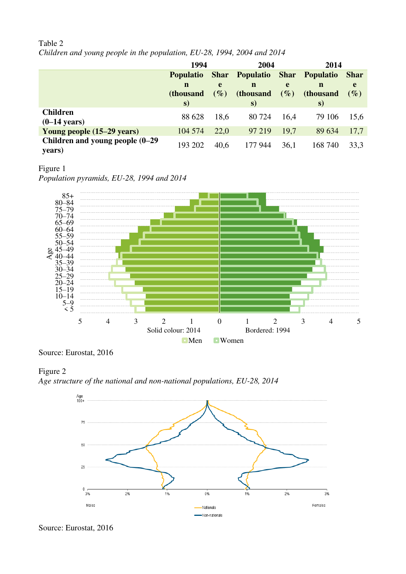#### Table 2

*Children and young people in the population, EU-28, 1994, 2004 and 2014* 

|                                    | 1994              |        | 2004                  |             | 2014             |             |
|------------------------------------|-------------------|--------|-----------------------|-------------|------------------|-------------|
|                                    | <b>Populatio</b>  |        | <b>Shar</b> Populatio | <b>Shar</b> | <b>Populatio</b> | <b>Shar</b> |
|                                    | $\mathbf n$       | e      | n                     | e           | n                | e           |
|                                    | <i>(thousand)</i> | $(\%)$ | (thousand             | $(\%)$      | (thousand        | $(\%)$      |
|                                    | S)                |        | S)                    |             | S)               |             |
| <b>Children</b>                    | 88 628            | 18,6   | 80 724                | 16,4        | 79 106           | 15,6        |
| $(0-14 \text{ years})$             |                   |        |                       |             |                  |             |
| Young people (15–29 years)         | 104 574           | 22,0   | 97 219                | 19,7        | 89 634           | 17,7        |
| Children and young people $(0-29)$ | 193 202           | 40,6   | 177 944               | 36,1        | 168 740          | 33,3        |
| years)                             |                   |        |                       |             |                  |             |

#### Figure 1 *Population pyramids, EU-28, 1994 and 2014*





Source: Eurostat, 2016

# Figure 2

*Age structure of the national and non-national populations, EU-28, 2014* 



Source: Eurostat, 2016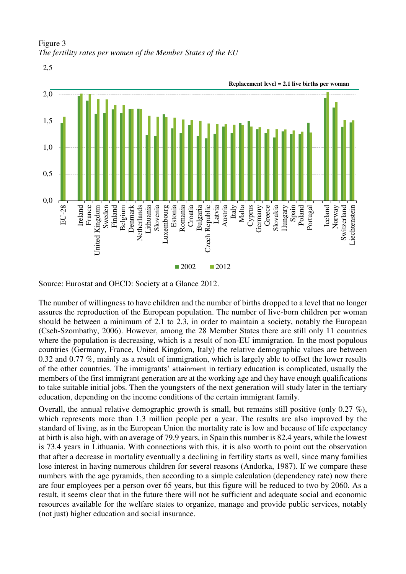

Figure 3 *The fertility rates per women of the Member States of the EU* 

Source: Eurostat and OECD: Society at a Glance 2012.

The number of willingness to have children and the number of births dropped to a level that no longer assures the reproduction of the European population. The number of live-born children per woman should be between a minimum of 2.1 to 2.3, in order to maintain a society, notably the European (Cseh-Szombathy, 2006). However, among the 28 Member States there are still only 11 countries where the population is decreasing, which is a result of non-EU immigration. In the most populous countries (Germany, France, United Kingdom, Italy) the relative demographic values are between 0.32 and 0.77 %, mainly as a result of immigration, which is largely able to offset the lower results of the other countries. The immigrants' attainment in tertiary education is complicated, usually the members of the first immigrant generation are at the working age and they have enough qualifications to take suitable initial jobs. Then the youngsters of the next generation will study later in the tertiary education, depending on the income conditions of the certain immigrant family.

Overall, the annual relative demographic growth is small, but remains still positive (only 0.27  $\%$ ), which represents more than 1.3 million people per a year. The results are also improved by the standard of living, as in the European Union the mortality rate is low and because of life expectancy at birth is also high, with an average of 79.9 years, in Spain this number is 82.4 years, while the lowest is 73.4 years in Lithuania. With connections with this, it is also worth to point out the observation that after a decrease in mortality eventually a declining in fertility starts as well, since many families lose interest in having numerous children for several reasons (Andorka, 1987). If we compare these numbers with the age pyramids, then according to a simple calculation (dependency rate) now there are four employees per a person over 65 years, but this figure will be reduced to two by 2060. As a result, it seems clear that in the future there will not be sufficient and adequate social and economic resources available for the welfare states to organize, manage and provide public services, notably (not just) higher education and social insurance.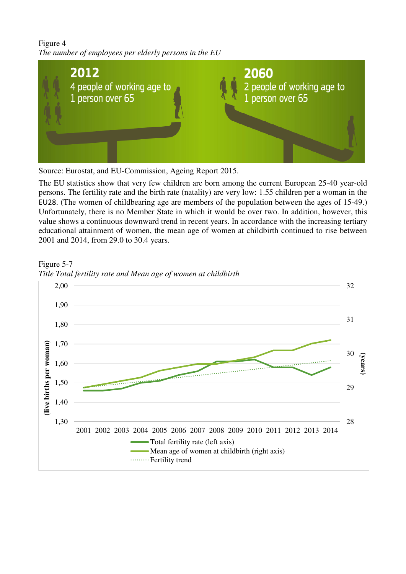# Figure 4 *The number of employees per elderly persons in the EU*



Source: Eurostat, and EU-Commission, Ageing Report 2015.

The EU statistics show that very few children are born among the current European 25-40 year-old persons. The fertility rate and the birth rate (natality) are very low: 1.55 children per a woman in the EU28. (The women of childbearing age are members of the population between the ages of 15-49.) Unfortunately, there is no Member State in which it would be over two. In addition, however, this value shows a continuous downward trend in recent years. In accordance with the increasing tertiary educational attainment of women, the mean age of women at childbirth continued to rise between 2001 and 2014, from 29.0 to 30.4 years.



Figure 5-7 *Title Total fertility rate and Mean age of women at childbirth*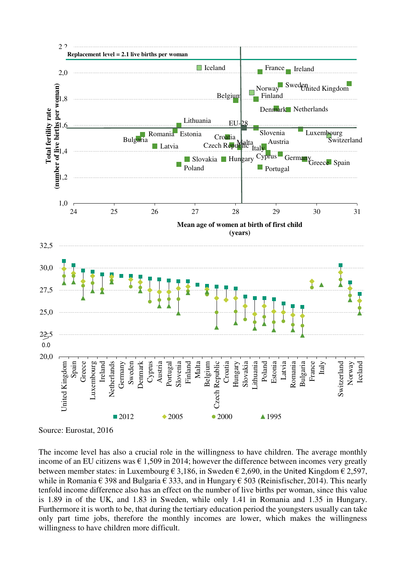

Source: Eurostat, 2016

The income level has also a crucial role in the willingness to have children. The average monthly income of an EU citizens was  $\epsilon$  1,509 in 2014; however the difference between incomes very greatly between member states: in Luxembourg  $\epsilon$  3,186, in Sweden  $\epsilon$  2,690, in the United Kingdom  $\epsilon$  2,597, while in Romania  $\epsilon$  398 and Bulgaria  $\epsilon$  333, and in Hungary  $\epsilon$  503 (Reinisfischer, 2014). This nearly tenfold income difference also has an effect on the number of live births per woman, since this value is 1.89 in of the UK, and 1.83 in Sweden, while only 1.41 in Romania and 1.35 in Hungary. Furthermore it is worth to be, that during the tertiary education period the youngsters usually can take only part time jobs, therefore the monthly incomes are lower, which makes the willingness willingness to have children more difficult.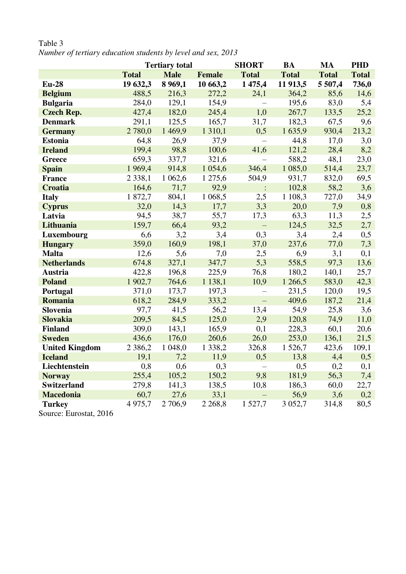|                                                                              | <b>Tertiary total</b> |             | <b>SHORT</b>  | <b>BA</b>      | <b>MA</b>    | <b>PHD</b>   |              |
|------------------------------------------------------------------------------|-----------------------|-------------|---------------|----------------|--------------|--------------|--------------|
|                                                                              | <b>Total</b>          | <b>Male</b> | <b>Female</b> | <b>Total</b>   | <b>Total</b> | <b>Total</b> | <b>Total</b> |
| <b>Eu-28</b>                                                                 | 19 632,3              | 8 9 6 9, 1  | 10 663,2      | 1475,4         | 11 913,5     | 5 507,4      | 736,0        |
| <b>Belgium</b>                                                               | 488,5                 | 216,3       | 272,2         | 24,1           | 364,2        | 85,6         | 14,6         |
| <b>Bulgaria</b>                                                              | 284,0                 | 129,1       | 154,9         |                | 195,6        | 83,0         | 5,4          |
| <b>Czech Rep.</b>                                                            | 427,4                 | 182,0       | 245,4         | 1,0            | 267,7        | 133,5        | 25,2         |
| <b>Denmark</b>                                                               | 291,1                 | 125,5       | 165,7         | 31,7           | 182,3        | 67,5         | 9,6          |
| <b>Germany</b>                                                               | 2 780,0               | 1 4 6 9, 9  | 1 3 1 0, 1    | 0,5            | 1635,9       | 930,4        | 213,2        |
| <b>Estonia</b>                                                               | 64,8                  | 26,9        | 37,9          | $\frac{1}{2}$  | 44,8         | 17,0         | 3,0          |
| <b>Ireland</b>                                                               | 199,4                 | 98,8        | 100,6         | 41,6           | 121,2        | 28,4         | 8,2          |
| <b>Greece</b>                                                                | 659,3                 | 337,7       | 321,6         |                | 588,2        | 48,1         | 23,0         |
| <b>Spain</b>                                                                 | 1969,4                | 914,8       | 1 0 5 4 , 6   | 346,4          | 1 085,0      | 514,4        | 23,7         |
| <b>France</b>                                                                | 2 3 3 8, 1            | 1 0 6 2, 6  | 1 275,6       | 504,9          | 931,7        | 832,0        | 69,5         |
| <b>Croatia</b>                                                               | 164,6                 | 71,7        | 92,9          | $\ddot{\cdot}$ | 102,8        | 58,2         | 3,6          |
| <b>Italy</b>                                                                 | 1872,7                | 804,1       | 1 0 68,5      | 2,5            | 1 108,3      | 727,0        | 34,9         |
| <b>Cyprus</b>                                                                | 32,0                  | 14,3        | 17,7          | 3,3            | 20,0         | 7,9          | 0,8          |
| Latvia                                                                       | 94,5                  | 38,7        | 55,7          | 17,3           | 63,3         | 11,3         | 2,5          |
| Lithuania                                                                    | 159,7                 | 66,4        | 93,2          | $\equiv$       | 124,5        | 32,5         | 2,7          |
| Luxembourg                                                                   | 6,6                   | 3,2         | 3,4           | 0,3            | 3,4          | 2,4          | 0,5          |
| <b>Hungary</b>                                                               | 359,0                 | 160,9       | 198,1         | 37,0           | 237,6        | 77,0         | 7,3          |
| <b>Malta</b>                                                                 | 12,6                  | 5,6         | 7,0           | 2,5            | 6,9          | 3,1          | 0,1          |
| <b>Netherlands</b>                                                           | 674,8                 | 327,1       | 347,7         | 5,3            | 558,5        | 97,3         | 13,6         |
| <b>Austria</b>                                                               | 422,8                 | 196,8       | 225,9         | 76,8           | 180,2        | 140,1        | 25,7         |
| <b>Poland</b>                                                                | 1 902,7               | 764,6       | 1 1 38,1      | 10,9           | 1 266,5      | 583,0        | 42,3         |
| Portugal                                                                     | 371,0                 | 173,7       | 197,3         | $\equiv$       | 231,5        | 120,0        | 19,5         |
| <b>Romania</b>                                                               | 618,2                 | 284,9       | 333,2         | $\equiv$       | 409,6        | 187,2        | 21,4         |
| Slovenia                                                                     | 97,7                  | 41,5        | 56,2          | 13,4           | 54,9         | 25,8         | 3,6          |
| <b>Slovakia</b>                                                              | 209,5                 | 84,5        | 125,0         | 2,9            | 120,8        | 74,9         | 11,0         |
| <b>Finland</b>                                                               | 309,0                 | 143,1       | 165,9         | 0,1            | 228,3        | 60,1         | 20,6         |
| <b>Sweden</b>                                                                | 436,6                 | 176,0       | 260,6         | 26,0           | 253,0        | 136,1        | 21,5         |
| <b>United Kingdom</b>                                                        | 2 3 8 6, 2            | 1 048,0     | 1 3 3 8 , 2   | 326,8          | 1 526,7      | 423,6        | 109,1        |
| <b>Iceland</b>                                                               | 19,1                  | 7,2         | 11,9          | 0,5            | 13,8         | 4,4          | 0,5          |
| Liechtenstein                                                                | 0,8                   | 0,6         | 0,3           | $\equiv$       | 0,5          | 0,2          | 0,1          |
| <b>Norway</b>                                                                | 255,4                 | 105,2       | 150,2         | 9,8            | 181,9        | 56,3         | 7,4          |
| <b>Switzerland</b>                                                           | 279,8                 | 141,3       | 138,5         | 10,8           | 186,3        | 60,0         | 22,7         |
| <b>Macedonia</b>                                                             | 60,7                  | 27,6        | 33,1          |                | 56,9         | 3,6          | 0,2          |
| <b>Turkey</b>                                                                | 4975,7                | 2 7 0 6,9   | 2 2 6 8 , 8   | 1 5 2 7 , 7    | 3 0 5 2, 7   | 314,8        | 80,5         |
| $\mathcal{C}_{\text{average}}$ $\mathcal{L}_{\text{gradient}}$ $\mathcal{A}$ |                       |             |               |                |              |              |              |

Table 3 *Number of tertiary education students by level and sex, 2013* 

Source: Eurostat, 2016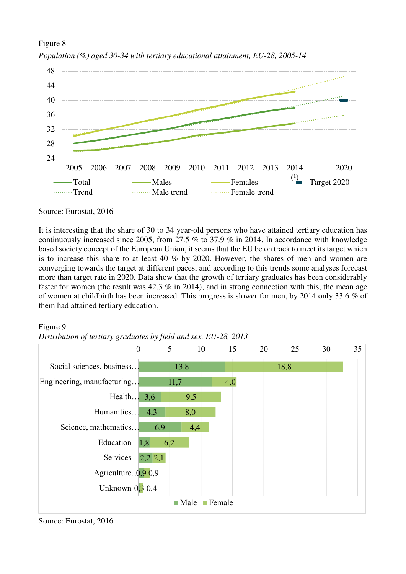# Figure 8 *Population (%) aged 30-34 with tertiary educational attainment, EU-28, 2005-14*



Source: Eurostat, 2016

It is interesting that the share of 30 to 34 year-old persons who have attained tertiary education has continuously increased since 2005, from 27.5 % to 37.9 % in 2014. In accordance with knowledge based society concept of the European Union, it seems that the EU be on track to meet its target which is to increase this share to at least 40 % by 2020. However, the shares of men and women are converging towards the target at different paces, and according to this trends some analyses forecast more than target rate in 2020. Data show that the growth of tertiary graduates has been considerably faster for women (the result was 42.3 % in 2014), and in strong connection with this, the mean age of women at childbirth has been increased. This progress is slower for men, by 2014 only 33.6 % of them had attained tertiary education.

#### Figure 9

*Distribution of tertiary graduates by field and sex, EU-28, 2013* 



Source: Eurostat, 2016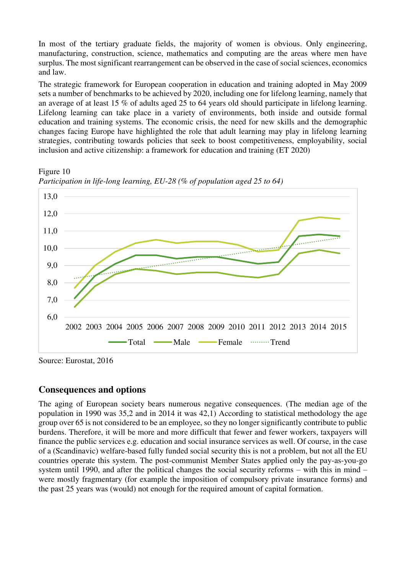In most of the tertiary graduate fields, the majority of women is obvious. Only engineering, manufacturing, construction, science, mathematics and computing are the areas where men have surplus. The most significant rearrangement can be observed in the case of social sciences, economics and law.

The strategic framework for European cooperation in education and training adopted in May 2009 sets a number of benchmarks to be achieved by 2020, including one for lifelong learning, namely that an average of at least 15 % of adults aged 25 to 64 years old should participate in lifelong learning. Lifelong learning can take place in a variety of environments, both inside and outside formal education and training systems. The economic crisis, the need for new skills and the demographic changes facing Europe have highlighted the role that adult learning may play in lifelong learning strategies, contributing towards policies that seek to boost competitiveness, employability, social inclusion and active citizenship: a framework for education and training (ET 2020)

Figure 10



*Participation in life-long learning, EU-28 (% of population aged 25 to 64)* 

Source: Eurostat, 2016

## **Consequences and options**

The aging of European society bears numerous negative consequences. (The median age of the population in 1990 was 35,2 and in 2014 it was 42,1) According to statistical methodology the age group over 65 is not considered to be an employee, so they no longer significantly contribute to public burdens. Therefore, it will be more and more difficult that fewer and fewer workers, taxpayers will finance the public services e.g. education and social insurance services as well. Of course, in the case of a (Scandinavic) welfare-based fully funded social security this is not a problem, but not all the EU countries operate this system. The post-communist Member States applied only the pay-as-you-go system until 1990, and after the political changes the social security reforms – with this in mind – were mostly fragmentary (for example the imposition of compulsory private insurance forms) and the past 25 years was (would) not enough for the required amount of capital formation.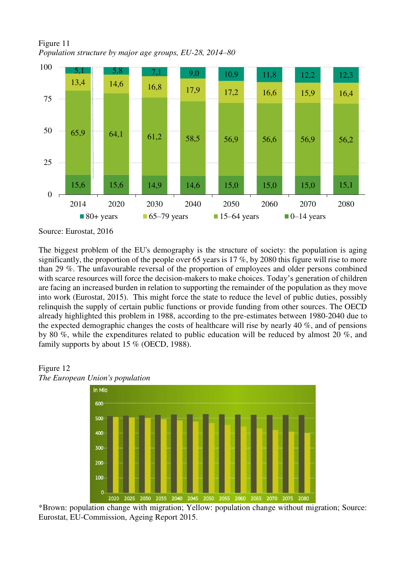Figure 11 *Population structure by major age groups, EU-28, 2014–80* 



Source: Eurostat, 2016

The biggest problem of the EU's demography is the structure of society: the population is aging significantly, the proportion of the people over 65 years is 17 %, by 2080 this figure will rise to more than 29 %. The unfavourable reversal of the proportion of employees and older persons combined with scarce resources will force the decision-makers to make choices. Today's generation of children are facing an increased burden in relation to supporting the remainder of the population as they move into work (Eurostat, 2015). This might force the state to reduce the level of public duties, possibly relinquish the supply of certain public functions or provide funding from other sources. The OECD already highlighted this problem in 1988, according to the pre-estimates between 1980-2040 due to the expected demographic changes the costs of healthcare will rise by nearly 40 %, and of pensions by 80 %, while the expenditures related to public education will be reduced by almost 20 %, and family supports by about 15 % (OECD, 1988).

#### Figure 12 *The European Union's population*



\*Brown: population change with migration; Yellow: population change without migration; Source: Eurostat, EU-Commission, Ageing Report 2015.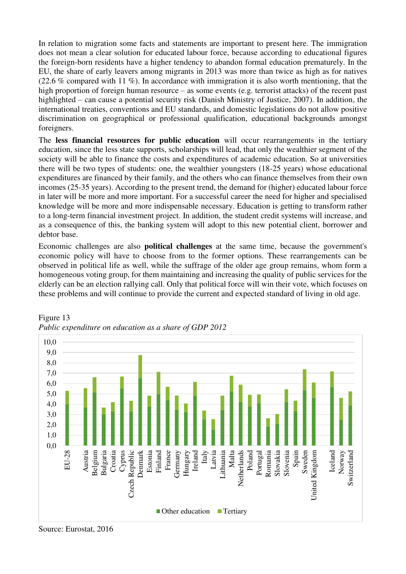In relation to migration some facts and statements are important to present here. The immigration does not mean a clear solution for educated labour force, because according to educational figures the foreign-born residents have a higher tendency to abandon formal education prematurely. In the EU, the share of early leavers among migrants in 2013 was more than twice as high as for natives (22.6 % compared with 11 %). In accordance with immigration it is also worth mentioning, that the high proportion of foreign human resource – as some events (e.g. terrorist attacks) of the recent past highlighted – can cause a potential security risk (Danish Ministry of Justice, 2007). In addition, the international treaties, conventions and EU standards, and domestic legislations do not allow positive discrimination on geographical or professional qualification, educational backgrounds amongst foreigners.

The **less financial resources for public education** will occur rearrangements in the tertiary education, since the less state supports, scholarships will lead, that only the wealthier segment of the society will be able to finance the costs and expenditures of academic education. So at universities there will be two types of students: one, the wealthier youngsters (18-25 years) whose educational expenditures are financed by their family, and the others who can finance themselves from their own incomes (25-35 years). According to the present trend, the demand for (higher) educated labour force in later will be more and more important. For a successful career the need for higher and specialised knowledge will be more and more indispensable necessary. Education is getting to transform rather to a long-term financial investment project. In addition, the student credit systems will increase, and as a consequence of this, the banking system will adopt to this new potential client, borrower and debtor base.

Economic challenges are also **political challenges** at the same time, because the government's economic policy will have to choose from to the former options. These rearrangements can be observed in political life as well, while the suffrage of the older age group remains, whom form a homogeneous voting group, for them maintaining and increasing the quality of public services for the elderly can be an election rallying call. Only that political force will win their vote, which focuses on these problems and will continue to provide the current and expected standard of living in old age.



Figure 13 *Public expenditure on education as a share of GDP 2012* 

Source: Eurostat, 2016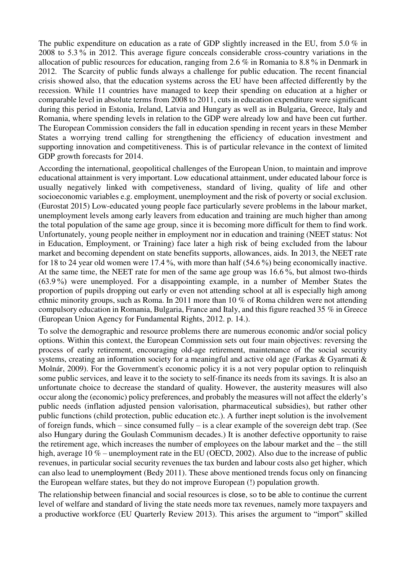The public expenditure on education as a rate of GDP slightly increased in the EU, from 5.0 % in 2008 to 5.3 % in 2012. This average figure conceals considerable cross-country variations in the allocation of public resources for education, ranging from 2.6 % in Romania to 8.8 % in Denmark in 2012. The Scarcity of public funds always a challenge for public education. The recent financial crisis showed also, that the education systems across the EU have been affected differently by the recession. While 11 countries have managed to keep their spending on education at a higher or comparable level in absolute terms from 2008 to 2011, cuts in education expenditure were significant during this period in Estonia, Ireland, Latvia and Hungary as well as in Bulgaria, Greece, Italy and Romania, where spending levels in relation to the GDP were already low and have been cut further. The European Commission considers the fall in education spending in recent years in these Member States a worrying trend calling for strengthening the efficiency of education investment and supporting innovation and competitiveness. This is of particular relevance in the context of limited GDP growth forecasts for 2014.

According the international, geopolitical challenges of the European Union, to maintain and improve educational attainment is very important. Low educational attainment, under educated labour force is usually negatively linked with competiveness, standard of living, quality of life and other socioeconomic variables e.g. employment, unemployment and the risk of poverty or social exclusion. (Eurostat 2015) Low-educated young people face particularly severe problems in the labour market, unemployment levels among early leavers from education and training are much higher than among the total population of the same age group, since it is becoming more difficult for them to find work. Unfortunately, young people neither in employment nor in education and training (NEET status: Not in Education, Employment, or Training) face later a high risk of being excluded from the labour market and becoming dependent on state benefits supports, allowances, aids. In 2013, the NEET rate for 18 to 24 year old women were 17.4 %, with more than half (54.6 %) being economically inactive. At the same time, the NEET rate for men of the same age group was 16.6 %, but almost two-thirds (63.9 %) were unemployed. For a disappointing example, in a number of Member States the proportion of pupils dropping out early or even not attending school at all is especially high among ethnic minority groups, such as Roma. In 2011 more than 10 % of Roma children were not attending compulsory education in Romania, Bulgaria, France and Italy, and this figure reached 35 % in Greece (European Union Agency for Fundamental Rights, 2012. p. 14.).

To solve the demographic and resource problems there are numerous economic and/or social policy options. Within this context, the European Commission sets out four main objectives: reversing the process of early retirement, encouraging old-age retirement, maintenance of the social security systems, creating an information society for a meaningful and active old age (Farkas & Gyarmati & Molnár, 2009). For the Government's economic policy it is a not very popular option to relinquish some public services, and leave it to the society to self-finance its needs from its savings. It is also an unfortunate choice to decrease the standard of quality. However, the austerity measures will also occur along the (economic) policy preferences, and probably the measures will not affect the elderly's public needs (inflation adjusted pension valorisation, pharmaceutical subsidies), but rather other public functions (child protection, public education etc.). A further inept solution is the involvement of foreign funds, which – since consumed fully – is a clear example of the sovereign debt trap. (See also Hungary during the Goulash Communism decades.) It is another defective opportunity to raise the retirement age, which increases the number of employees on the labour market and the – the still high, average 10 % – unemployment rate in the EU (OECD, 2002). Also due to the increase of public revenues, in particular social security revenues the tax burden and labour costs also get higher, which can also lead to unemployment (Bedy 2011). These above mentioned trends focus only on financing the European welfare states, but they do not improve European (!) population growth.

The relationship between financial and social resources is close, so to be able to continue the current level of welfare and standard of living the state needs more tax revenues, namely more taxpayers and a productive workforce (EU Quarterly Review 2013). This arises the argument to "import" skilled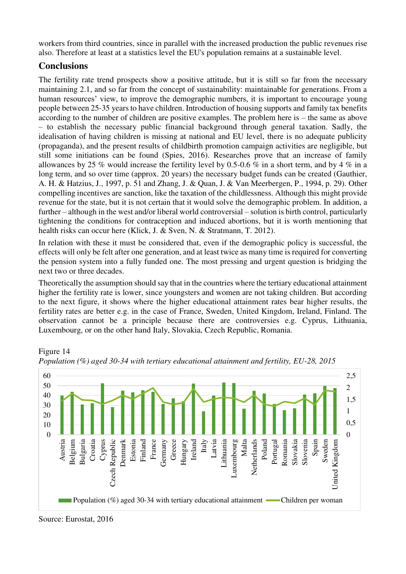workers from third countries, since in parallel with the increased production the public revenues rise also. Therefore at least at a statistics level the EU's population remains at a sustainable level.

# **Conclusions**

The fertility rate trend prospects show a positive attitude, but it is still so far from the necessary maintaining 2.1, and so far from the concept of sustainability: maintainable for generations. From a human resources' view, to improve the demographic numbers, it is important to encourage young people between 25-35 years to have children. Introduction of housing supports and family tax benefits according to the number of children are positive examples. The problem here is – the same as above – to establish the necessary public financial background through general taxation. Sadly, the idealisation of having children is missing at national and EU level, there is no adequate publicity (propaganda), and the present results of childbirth promotion campaign activities are negligible, but still some initiations can be found (Spies, 2016). Researches prove that an increase of family allowances by 25 % would increase the fertility level by 0.5-0.6 % in a short term, and by 4 % in a long term, and so over time (approx. 20 years) the necessary budget funds can be created (Gauthier, A. H. & Hatzius, J., 1997, p. 51 and Zhang, J. & Quan, J. & Van Meerbergen, P., 1994, p. 29). Other compelling incentives are sanction, like the taxation of the childlessness. Although this might provide revenue for the state, but it is not certain that it would solve the demographic problem. In addition, a further – although in the west and/or liberal world controversial – solution is birth control, particularly tightening the conditions for contraception and induced abortions, but it is worth mentioning that health risks can occur here (Klick, J. & Sven, N. & Stratmann, T. 2012).

In relation with these it must be considered that, even if the demographic policy is successful, the effects will only be felt after one generation, and at least twice as many time is required for converting the pension system into a fully funded one. The most pressing and urgent question is bridging the next two or three decades.

Theoretically the assumption should say that in the countries where the tertiary educational attainment higher the fertility rate is lower, since youngsters and women are not taking children. But according to the next figure, it shows where the higher educational attainment rates bear higher results, the fertility rates are better e.g. in the case of France, Sweden, United Kingdom, Ireland, Finland. The observation cannot be a principle because there are controversies e.g. Cyprus, Lithuania, Luxembourg, or on the other hand Italy, Slovakia, Czech Republic, Romania.



Figure 14 *Population (%) aged 30-34 with tertiary educational attainment and fertility, EU-28, 2015* 

Source: Eurostat, 2016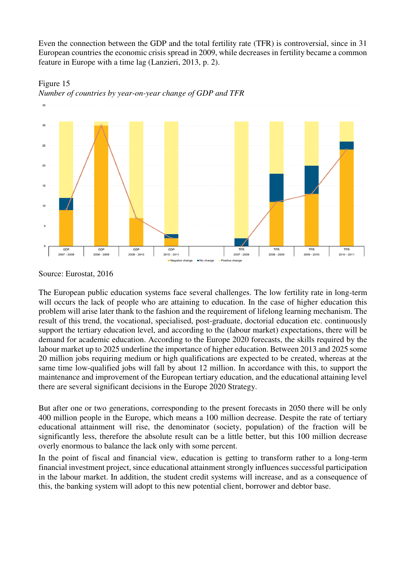Even the connection between the GDP and the total fertility rate (TFR) is controversial, since in 31 European countries the economic crisis spread in 2009, while decreases in fertility became a common feature in Europe with a time lag (Lanzieri, 2013, p. 2).



Figure 15 *Number of countries by year-on-year change of GDP and TFR* 

The European public education systems face several challenges. The low fertility rate in long-term will occurs the lack of people who are attaining to education. In the case of higher education this problem will arise later thank to the fashion and the requirement of lifelong learning mechanism. The result of this trend, the vocational, specialised, post-graduate, doctorial education etc. continuously support the tertiary education level, and according to the (labour market) expectations, there will be demand for academic education. According to the Europe 2020 forecasts, the skills required by the labour market up to 2025 underline the importance of higher education. Between 2013 and 2025 some 20 million jobs requiring medium or high qualifications are expected to be created, whereas at the same time low-qualified jobs will fall by about 12 million. In accordance with this, to support the maintenance and improvement of the European tertiary education, and the educational attaining level there are several significant decisions in the Europe 2020 Strategy.

But after one or two generations, corresponding to the present forecasts in 2050 there will be only 400 million people in the Europe, which means a 100 million decrease. Despite the rate of tertiary educational attainment will rise, the denominator (society, population) of the fraction will be significantly less, therefore the absolute result can be a little better, but this 100 million decrease overly enormous to balance the lack only with some percent.

In the point of fiscal and financial view, education is getting to transform rather to a long-term financial investment project, since educational attainment strongly influences successful participation in the labour market. In addition, the student credit systems will increase, and as a consequence of this, the banking system will adopt to this new potential client, borrower and debtor base.

Source: Eurostat, 2016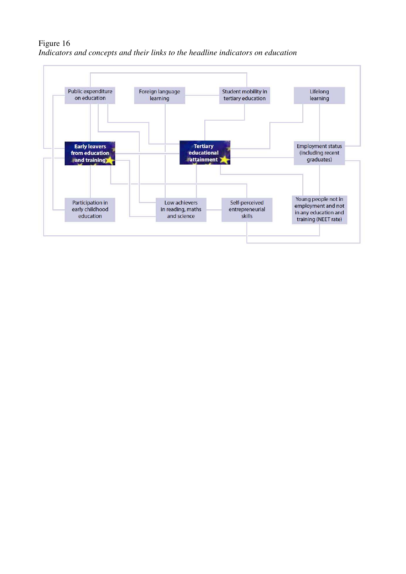